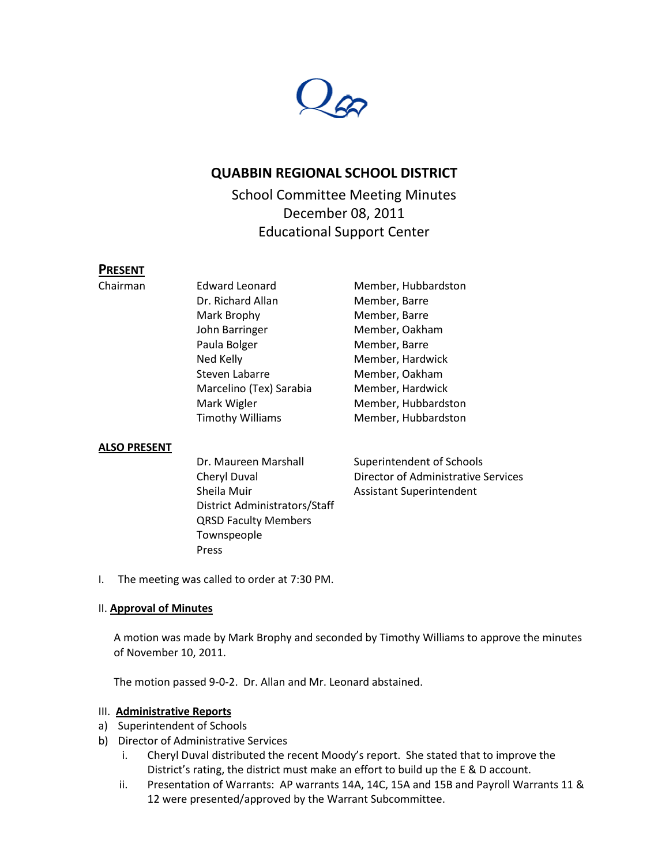

# **QUABBIN REGIONAL SCHOOL DISTRICT**

School Committee Meeting Minutes December 08, 2011 Educational Support Center

# **PRESENT**

Dr. Richard Allan Member, Barre Mark Brophy Member, Barre John Barringer Member, Oakham Paula Bolger Member, Barre Ned Kelly **Member**, Hardwick Steven Labarre Member, Oakham Marcelino (Tex) Sarabia Member, Hardwick Mark Wigler Member, Hubbardston Timothy Williams Member, Hubbardston

Chairman Edward Leonard Member, Hubbardston

### **ALSO PRESENT**

Dr. Maureen Marshall Superintendent of Schools Sheila Muir **Assistant Superintendent** District Administrators/Staff QRSD Faculty Members Townspeople Press

Cheryl Duval Director of Administrative Services

I. The meeting was called to order at 7:30 PM.

#### II. **Approval of Minutes**

A motion was made by Mark Brophy and seconded by Timothy Williams to approve the minutes of November 10, 2011.

The motion passed 9-0-2. Dr. Allan and Mr. Leonard abstained.

#### III. **Administrative Reports**

- a) Superintendent of Schools
- b) Director of Administrative Services
	- i. Cheryl Duval distributed the recent Moody's report. She stated that to improve the District's rating, the district must make an effort to build up the E & D account.
	- ii. Presentation of Warrants: AP warrants 14A, 14C, 15A and 15B and Payroll Warrants 11 & 12 were presented/approved by the Warrant Subcommittee.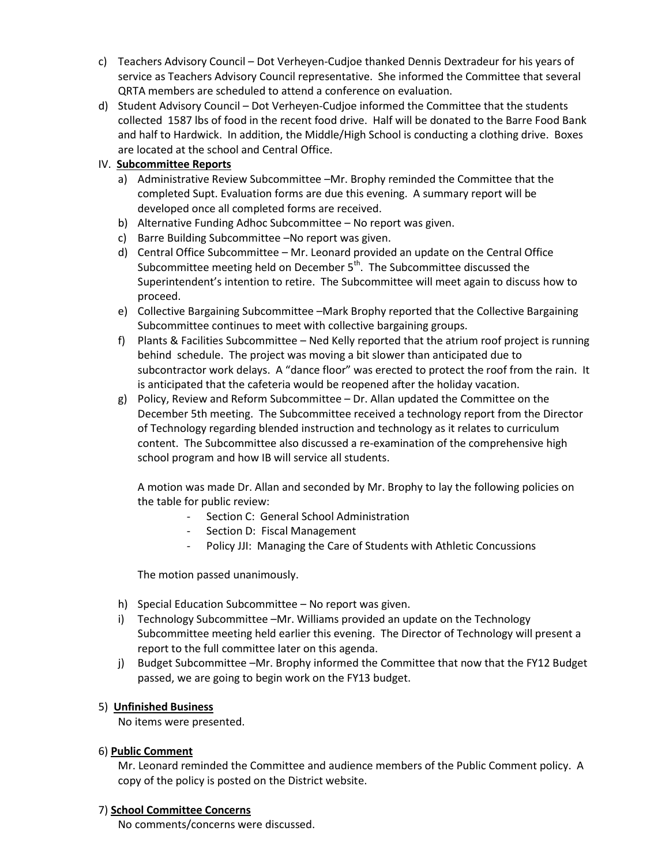- c) Teachers Advisory Council Dot Verheyen-Cudjoe thanked Dennis Dextradeur for his years of service as Teachers Advisory Council representative. She informed the Committee that several QRTA members are scheduled to attend a conference on evaluation.
- d) Student Advisory Council Dot Verheyen-Cudjoe informed the Committee that the students collected 1587 lbs of food in the recent food drive. Half will be donated to the Barre Food Bank and half to Hardwick. In addition, the Middle/High School is conducting a clothing drive. Boxes are located at the school and Central Office.

## IV. **Subcommittee Reports**

- a) Administrative Review Subcommittee –Mr. Brophy reminded the Committee that the completed Supt. Evaluation forms are due this evening. A summary report will be developed once all completed forms are received.
- b) Alternative Funding Adhoc Subcommittee No report was given.
- c) Barre Building Subcommittee –No report was given.
- d) Central Office Subcommittee Mr. Leonard provided an update on the Central Office Subcommittee meeting held on December  $5<sup>th</sup>$ . The Subcommittee discussed the Superintendent's intention to retire. The Subcommittee will meet again to discuss how to proceed.
- e) Collective Bargaining Subcommittee –Mark Brophy reported that the Collective Bargaining Subcommittee continues to meet with collective bargaining groups.
- f) Plants & Facilities Subcommittee Ned Kelly reported that the atrium roof project is running behind schedule. The project was moving a bit slower than anticipated due to subcontractor work delays. A "dance floor" was erected to protect the roof from the rain. It is anticipated that the cafeteria would be reopened after the holiday vacation.
- g) Policy, Review and Reform Subcommittee Dr. Allan updated the Committee on the December 5th meeting. The Subcommittee received a technology report from the Director of Technology regarding blended instruction and technology as it relates to curriculum content. The Subcommittee also discussed a re-examination of the comprehensive high school program and how IB will service all students.

A motion was made Dr. Allan and seconded by Mr. Brophy to lay the following policies on the table for public review:

- Section C: General School Administration
- Section D: Fiscal Management
- Policy JJI: Managing the Care of Students with Athletic Concussions

The motion passed unanimously.

- h) Special Education Subcommittee No report was given.
- i) Technology Subcommittee –Mr. Williams provided an update on the Technology Subcommittee meeting held earlier this evening. The Director of Technology will present a report to the full committee later on this agenda.
- j) Budget Subcommittee –Mr. Brophy informed the Committee that now that the FY12 Budget passed, we are going to begin work on the FY13 budget.

### 5) **Unfinished Business**

No items were presented.

### 6) **Public Comment**

Mr. Leonard reminded the Committee and audience members of the Public Comment policy. A copy of the policy is posted on the District website.

### 7) **School Committee Concerns**

No comments/concerns were discussed.